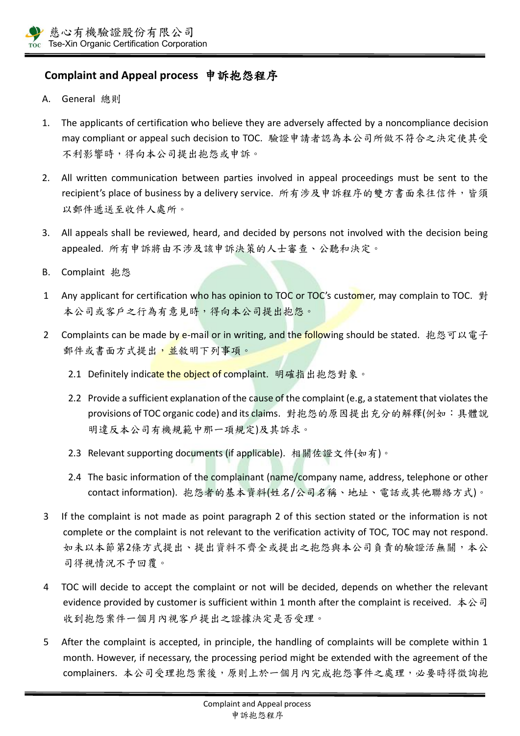## **Complaint and Appeal process** 申訴抱怨程序

- A. General 總則
- 1. The applicants of certification who believe they are adversely affected by a noncompliance decision may compliant or appeal such decision to TOC. 驗證申請者認為本公司所做不符合之決定使其受 不利影響時,得向本公司提出抱怨或申訴。
- 2. All written communication between parties involved in appeal proceedings must be sent to the recipient's place of business by a delivery service. 所有涉及申訴程序的雙方書面來往信件,皆須 以郵件遞送至收件人處所。
- 3. All appeals shall be reviewed, heard, and decided by persons not involved with the decision being appealed. 所有申訴將由不涉及該申訴決策的人士審查、公聽和決定。
- B. Complaint 抱怨
- 1 Any applicant for certification who has opinion to TOC or TOC's customer, may complain to TOC. 對 本公司或客戶之行為有意見時,得向本公司提出抱怨。
- 2 Complaints can be made by e-mail or in writing, and the following should be stated. 抱怨可以電子 郵件或書面方式提出,並敘明下列事項。
	- 2.1 Definitely indicate the object of complaint. 明確指出抱怨對象。
	- 2.2 Provide a sufficient explanation of the cause of the complaint (e.g, a statement that violates the provisions of TOC organic code) and its claims. 對抱怨的原因提出充分的解釋(例如:具體說 明違反本公司有機規範中那一項規定)及其訴求。
	- 2.3 Relevant supporting documents (if applicable). 相關佐證文件(如有)。
	- 2.4 The basic information of the complainant (name/company name, address, telephone or other contact information). 抱怨者的基本資料(姓名/公司名稱、地址、電話或其他聯絡方式)。
- 3 If the complaint is not made as point paragraph 2 of this section stated or the information is not complete or the complaint is not relevant to the verification activity of TOC, TOC may not respond. 如未以本節第2條方式提出了料不齊全或提出之抱怨與本公司負責的驗證活無關,本公 司得視情況不予回覆。
- 4 TOC will decide to accept the complaint or not will be decided, depends on whether the relevant evidence provided by customer is sufficient within 1 month after the complaint is received. 本公司 收到抱怨案件一個月內視客戶提出之證據決定是否受理。
- 5 After the complaint is accepted, in principle, the handling of complaints will be complete within 1 month. However, if necessary, the processing period might be extended with the agreement of the complainers. 本公司受理抱怨案後,原則上於一個月內完成抱怨事件之處理,必要時得徵詢抱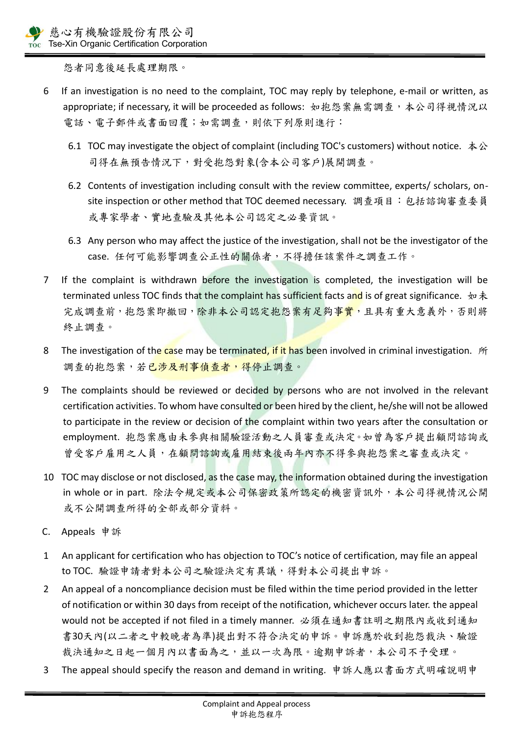怨者同意後延長處理期限。

- 6 If an investigation is no need to the complaint, TOC may reply by telephone, e-mail or written, as appropriate; if necessary, it will be proceeded as follows: 如抱怨案無需調查, 本公司得視情況以 電話、電子郵件或書面回覆;如需調查,則依下列原則進行:
	- 6.1 TOC may investigate the object of complaint (including TOC's customers) without notice. 本公 司得在無預告情況下,對受抱怨對象(含本公司客戶)展開調查。
	- 6.2 Contents of investigation including consult with the review committee, experts/ scholars, onsite inspection or other method that TOC deemed necessary. 調查項目:包括諮詢審查委員 或專家學者、實地查驗及其他本公司認定之必要資訊。
	- 6.3 Any person who may affect the justice of the investigation, shall not be the investigator of the case. 任何可能影響調查公正性的關係者,不得擔任該案件之調查工作。
- 7 If the complaint is withdrawn before the investigation is completed, the investigation will be terminated unless TOC finds that the complaint has sufficient facts and is of great significance.  $\psi \neq \psi$ 完成調查前,抱怨案即撤回,除非本公司認定抱怨案有足夠事實,且具有重大意義外,否則將 終止調查。
- 8 The investigation of the case may be terminated, if it has been involved in criminal investigation. 所 調查的抱怨案,若已涉及刑事偵查者,得停止調查。
- 9 The complaints should be reviewed or decided by persons who are not involved in the relevant certification activities. To whom have consulted or been hired by the client, he/she will not be allowed to participate in the review or decision of the complaint within two years after the consultation or employment. 抱怨案應由未參與相關驗證活動之人員審查或決定。如曾為客戶提出顧問諮詢或 曾受客戶雇用之人員,在顧問諮詢或雇用結束後兩年內亦不得參與抱怨案之審查或決定。
- 10 TOC may disclose or not disclosed, as the case may, the information obtained during the investigation in whole or in part. 除法令規定或本公司保密政策所認定的機密資訊外,本公司得視情況公開 或不公開調查所得的全部或部分資料。
- C. Appeals 申訴
- 1 An applicant for certification who has objection to TOC's notice of certification, may file an appeal to TOC. 驗證申請者對本公司之驗證決定有異議,得對本公司提出申訴。
- 2 An appeal of a noncompliance decision must be filed within the time period provided in the letter of notification or within 30 days from receipt of the notification, whichever occurs later. the appeal would not be accepted if not filed in a timely manner. 必須在通知書註明之期限內或收到通知 書30天內(以二者之中較晚者為準)提出對不符合決定的申訴。申訴應於收到抱怨裁決、驗證 裁決通知之日起一個月內以書面為之,並以一次為限。逾期申訴者,本公司不予受理。
- 3 The appeal should specify the reason and demand in writing. 申訴人應以書面方式明確說明申